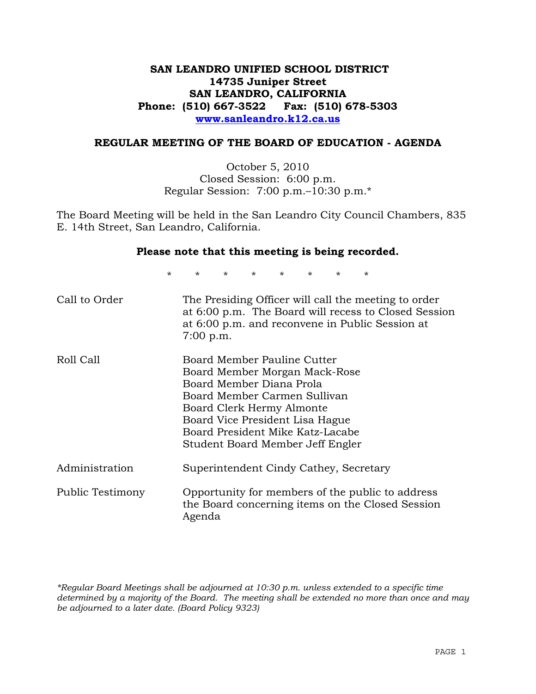# **SAN LEANDRO UNIFIED SCHOOL DISTRICT 14735 Juniper Street SAN LEANDRO, CALIFORNIA Phone: (510) 667-3522 Fax: (510) 678-5303 www.sanleandro.k12.ca.us**

# **REGULAR MEETING OF THE BOARD OF EDUCATION - AGENDA**

October 5, 2010 Closed Session: 6:00 p.m. Regular Session: 7:00 p.m.–10:30 p.m.\*

The Board Meeting will be held in the San Leandro City Council Chambers, 835 E. 14th Street, San Leandro, California.

#### **Please note that this meeting is being recorded.**

\* \* \* \* \* \* \* \*

| Call to Order    | The Presiding Officer will call the meeting to order<br>at 6:00 p.m. The Board will recess to Closed Session<br>at 6:00 p.m. and reconvene in Public Session at<br>$7:00$ p.m.                                                                                   |
|------------------|------------------------------------------------------------------------------------------------------------------------------------------------------------------------------------------------------------------------------------------------------------------|
| Roll Call        | Board Member Pauline Cutter<br>Board Member Morgan Mack-Rose<br>Board Member Diana Prola<br>Board Member Carmen Sullivan<br>Board Clerk Hermy Almonte<br>Board Vice President Lisa Hague<br>Board President Mike Katz-Lacabe<br>Student Board Member Jeff Engler |
| Administration   | Superintendent Cindy Cathey, Secretary                                                                                                                                                                                                                           |
| Public Testimony | Opportunity for members of the public to address<br>the Board concerning items on the Closed Session<br>Agenda                                                                                                                                                   |

*\*Regular Board Meetings shall be adjourned at 10:30 p.m. unless extended to a specific time determined by a majority of the Board. The meeting shall be extended no more than once and may be adjourned to a later date. (Board Policy 9323)*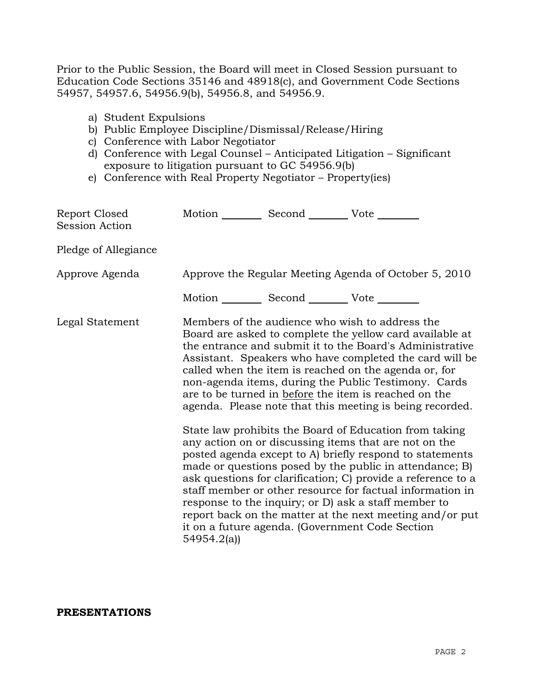Prior to the Public Session, the Board will meet in Closed Session pursuant to Education Code Sections 35146 and 48918(c), and Government Code Sections 54957, 54957.6, 54956.9(b), 54956.8, and 54956.9.

- a) Student Expulsions
- b) Public Employee Discipline/Dismissal/Release/Hiring
- c) Conference with Labor Negotiator
- d) Conference with Legal Counsel Anticipated Litigation Significant exposure to litigation pursuant to GC 54956.9(b)
- e) Conference with Real Property Negotiator Property(ies)

| Report Closed<br><b>Session Action</b> | Motion __________ Second __________ Vote ________     |                                                                                                                                                                                                                                                                                                                                                                                                                                                                                                                                                                                                                                                                                                                                                                                                                                                                                                                                                                                                                        |
|----------------------------------------|-------------------------------------------------------|------------------------------------------------------------------------------------------------------------------------------------------------------------------------------------------------------------------------------------------------------------------------------------------------------------------------------------------------------------------------------------------------------------------------------------------------------------------------------------------------------------------------------------------------------------------------------------------------------------------------------------------------------------------------------------------------------------------------------------------------------------------------------------------------------------------------------------------------------------------------------------------------------------------------------------------------------------------------------------------------------------------------|
| Pledge of Allegiance                   |                                                       |                                                                                                                                                                                                                                                                                                                                                                                                                                                                                                                                                                                                                                                                                                                                                                                                                                                                                                                                                                                                                        |
| Approve Agenda                         |                                                       | Approve the Regular Meeting Agenda of October 5, 2010                                                                                                                                                                                                                                                                                                                                                                                                                                                                                                                                                                                                                                                                                                                                                                                                                                                                                                                                                                  |
|                                        | Motion ___________ Second ____________ Vote _________ |                                                                                                                                                                                                                                                                                                                                                                                                                                                                                                                                                                                                                                                                                                                                                                                                                                                                                                                                                                                                                        |
| Legal Statement                        | 54954.2(a)                                            | Members of the audience who wish to address the<br>Board are asked to complete the yellow card available at<br>the entrance and submit it to the Board's Administrative<br>Assistant. Speakers who have completed the card will be<br>called when the item is reached on the agenda or, for<br>non-agenda items, during the Public Testimony. Cards<br>are to be turned in before the item is reached on the<br>agenda. Please note that this meeting is being recorded.<br>State law prohibits the Board of Education from taking<br>any action on or discussing items that are not on the<br>posted agenda except to A) briefly respond to statements<br>made or questions posed by the public in attendance; B)<br>ask questions for clarification; C) provide a reference to a<br>staff member or other resource for factual information in<br>response to the inquiry; or D) ask a staff member to<br>report back on the matter at the next meeting and/or put<br>it on a future agenda. (Government Code Section |

#### **PRESENTATIONS**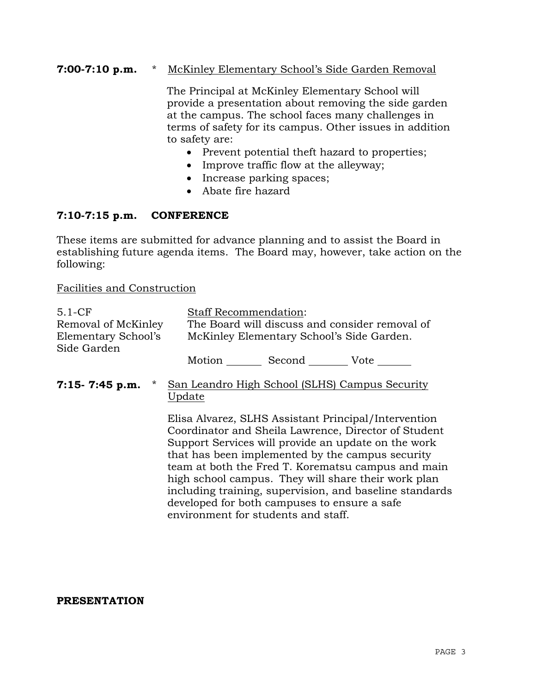# **7:00-7:10 p.m.** \* McKinley Elementary School's Side Garden Removal

 The Principal at McKinley Elementary School will provide a presentation about removing the side garden at the campus. The school faces many challenges in terms of safety for its campus. Other issues in addition to safety are:

- Prevent potential theft hazard to properties;
- Improve traffic flow at the alleyway;
- Increase parking spaces;
- Abate fire hazard

# **7:10-7:15 p.m. CONFERENCE**

These items are submitted for advance planning and to assist the Board in establishing future agenda items. The Board may, however, take action on the following:

Facilities and Construction

| $5.1-CF$                           | <b>Staff Recommendation:</b>                                                                                                                                                                                                                                                                                                                                                                                                                                                           |  |  |
|------------------------------------|----------------------------------------------------------------------------------------------------------------------------------------------------------------------------------------------------------------------------------------------------------------------------------------------------------------------------------------------------------------------------------------------------------------------------------------------------------------------------------------|--|--|
| Removal of McKinley                | The Board will discuss and consider removal of                                                                                                                                                                                                                                                                                                                                                                                                                                         |  |  |
| Elementary School's<br>Side Garden | McKinley Elementary School's Side Garden.                                                                                                                                                                                                                                                                                                                                                                                                                                              |  |  |
|                                    | Motion Second Vote                                                                                                                                                                                                                                                                                                                                                                                                                                                                     |  |  |
| $\star$<br>$7:15 - 7:45$ p.m.      | San Leandro High School (SLHS) Campus Security<br>Update                                                                                                                                                                                                                                                                                                                                                                                                                               |  |  |
|                                    | Elisa Alvarez, SLHS Assistant Principal/Intervention<br>Coordinator and Sheila Lawrence, Director of Student<br>Support Services will provide an update on the work<br>that has been implemented by the campus security<br>team at both the Fred T. Korematsu campus and main<br>high school campus. They will share their work plan<br>including training, supervision, and baseline standards<br>developed for both campuses to ensure a safe<br>environment for students and staff. |  |  |

#### **PRESENTATION**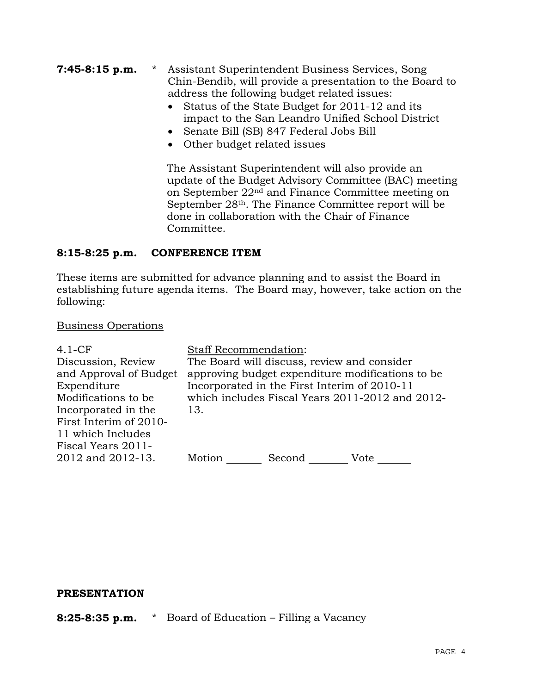- **7:45-8:15 p.m.** \* Assistant Superintendent Business Services, Song Chin-Bendib, will provide a presentation to the Board to address the following budget related issues:
	- Status of the State Budget for 2011-12 and its impact to the San Leandro Unified School District
	- Senate Bill (SB) 847 Federal Jobs Bill
	- Other budget related issues

 The Assistant Superintendent will also provide an update of the Budget Advisory Committee (BAC) meeting on September 22nd and Finance Committee meeting on September 28th. The Finance Committee report will be done in collaboration with the Chair of Finance Committee.

# **8:15-8:25 p.m. CONFERENCE ITEM**

These items are submitted for advance planning and to assist the Board in establishing future agenda items. The Board may, however, take action on the following:

# Business Operations

| $4.1-CF$               | <b>Staff Recommendation:</b>                     |  |  |
|------------------------|--------------------------------------------------|--|--|
| Discussion, Review     | The Board will discuss, review and consider      |  |  |
| and Approval of Budget | approving budget expenditure modifications to be |  |  |
| Expenditure            | Incorporated in the First Interim of 2010-11     |  |  |
| Modifications to be    | which includes Fiscal Years 2011-2012 and 2012-  |  |  |
| Incorporated in the    | 13.                                              |  |  |
| First Interim of 2010- |                                                  |  |  |
| 11 which Includes      |                                                  |  |  |
| Fiscal Years 2011-     |                                                  |  |  |
| 2012 and 2012-13.      | Motion<br>Second<br>Vote                         |  |  |

#### **PRESENTATION**

**8:25-8:35 p.m.** \* Board of Education – Filling a Vacancy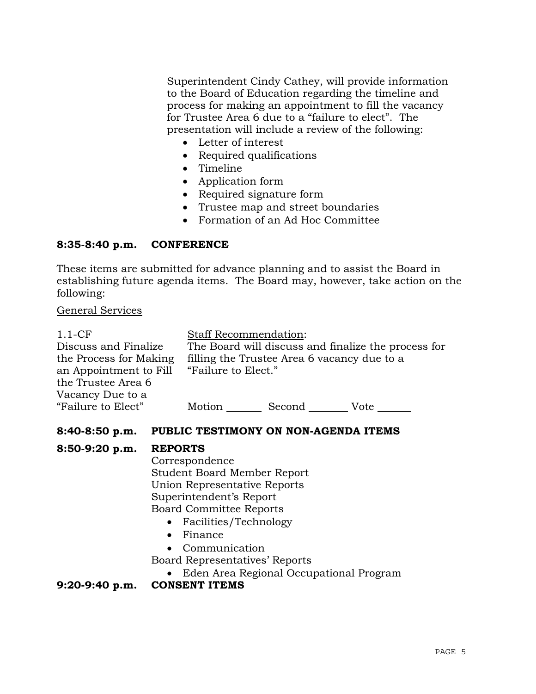Superintendent Cindy Cathey, will provide information to the Board of Education regarding the timeline and process for making an appointment to fill the vacancy for Trustee Area 6 due to a "failure to elect". The presentation will include a review of the following:

- Letter of interest
- Required qualifications
- Timeline
- Application form
- Required signature form
- Trustee map and street boundaries
- Formation of an Ad Hoc Committee

# **8:35-8:40 p.m. CONFERENCE**

These items are submitted for advance planning and to assist the Board in establishing future agenda items. The Board may, however, take action on the following:

# General Services

| $1.1-CF$               | <b>Staff Recommendation:</b>                        |        |      |
|------------------------|-----------------------------------------------------|--------|------|
| Discuss and Finalize   | The Board will discuss and finalize the process for |        |      |
| the Process for Making | filling the Trustee Area 6 vacancy due to a         |        |      |
| an Appointment to Fill | "Failure to Elect."                                 |        |      |
| the Trustee Area 6     |                                                     |        |      |
| Vacancy Due to a       |                                                     |        |      |
| "Failure to Elect"     | Motion                                              | Second | Vote |

# **8:40-8:50 p.m. PUBLIC TESTIMONY ON NON-AGENDA ITEMS**

# **8:50-9:20 p.m. REPORTS**

 Correspondence Student Board Member Report Union Representative Reports Superintendent's Report Board Committee Reports

- Facilities/Technology
- Finance
- Communication

Board Representatives' Reports

Eden Area Regional Occupational Program

**9:20-9:40 p.m. CONSENT ITEMS**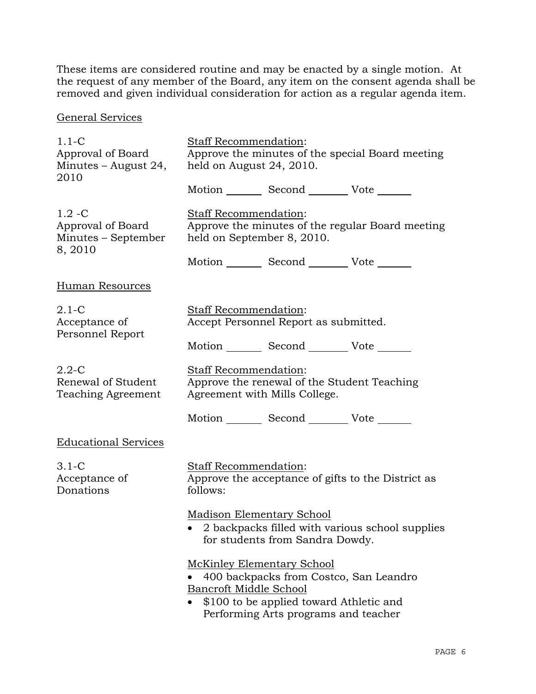These items are considered routine and may be enacted by a single motion. At the request of any member of the Board, any item on the consent agenda shall be removed and given individual consideration for action as a regular agenda item.

General Services

| $1.1 - C$<br>Approval of Board<br>Minutes – August 24,<br>2010   | Staff Recommendation:<br>Approve the minutes of the special Board meeting<br>held on August 24, 2010.                                                                                    |                                                                     |                                                    |
|------------------------------------------------------------------|------------------------------------------------------------------------------------------------------------------------------------------------------------------------------------------|---------------------------------------------------------------------|----------------------------------------------------|
|                                                                  |                                                                                                                                                                                          | Motion _________ Second __________ Vote _______                     |                                                    |
| $1.2 - C$<br>Approval of Board<br>Minutes – September<br>8, 2010 | <b>Staff Recommendation:</b><br>Approve the minutes of the regular Board meeting<br>held on September 8, 2010.                                                                           |                                                                     |                                                    |
|                                                                  |                                                                                                                                                                                          | Motion _________ Second ___________ Vote _______                    |                                                    |
| <b>Human Resources</b>                                           |                                                                                                                                                                                          |                                                                     |                                                    |
| $2.1 - C$<br>Acceptance of<br>Personnel Report                   | Staff Recommendation:                                                                                                                                                                    | Accept Personnel Report as submitted.                               |                                                    |
|                                                                  |                                                                                                                                                                                          | Motion _________ Second __________ Vote _______                     |                                                    |
| $2.2 - C$<br>Renewal of Student<br>Teaching Agreement            | Staff Recommendation:<br>Approve the renewal of the Student Teaching<br>Agreement with Mills College.                                                                                    |                                                                     |                                                    |
|                                                                  |                                                                                                                                                                                          | Motion _________ Second __________ Vote _______                     |                                                    |
| <b>Educational Services</b>                                      |                                                                                                                                                                                          |                                                                     |                                                    |
| $3.1-C$<br>Acceptance of<br>Donations                            | Staff Recommendation:<br>follows:                                                                                                                                                        |                                                                     | Approve the acceptance of gifts to the District as |
|                                                                  |                                                                                                                                                                                          | <b>Madison Elementary School</b><br>for students from Sandra Dowdy. | 2 backpacks filled with various school supplies    |
|                                                                  | <b>McKinley Elementary School</b><br>400 backpacks from Costco, San Leandro<br>Bancroft Middle School<br>\$100 to be applied toward Athletic and<br>Performing Arts programs and teacher |                                                                     |                                                    |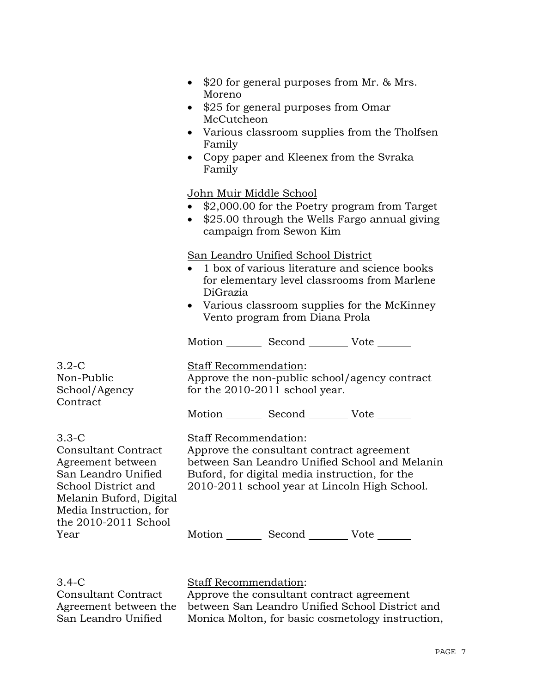|                                                                                                                                                               | • \$20 for general purposes from Mr. $& Mrs.$<br>Moreno<br>\$25 for general purposes from Omar<br>$\bullet$<br>McCutcheon<br>• Various classroom supplies from the Tholfsen<br>Family<br>Copy paper and Kleenex from the Svraka<br>Family |
|---------------------------------------------------------------------------------------------------------------------------------------------------------------|-------------------------------------------------------------------------------------------------------------------------------------------------------------------------------------------------------------------------------------------|
|                                                                                                                                                               | John Muir Middle School<br>• \$2,000.00 for the Poetry program from Target<br>• \$25.00 through the Wells Fargo annual giving<br>campaign from Sewon Kim                                                                                  |
|                                                                                                                                                               | San Leandro Unified School District<br>1 box of various literature and science books<br>for elementary level classrooms from Marlene<br>DiGrazia<br>• Various classroom supplies for the McKinney<br>Vento program from Diana Prola       |
|                                                                                                                                                               | Motion _________ Second __________ Vote _______                                                                                                                                                                                           |
| $3.2 - C$<br>Non-Public<br>School/Agency<br>Contract                                                                                                          | Staff Recommendation:<br>Approve the non-public school/agency contract<br>for the 2010-2011 school year.                                                                                                                                  |
|                                                                                                                                                               | Motion _________ Second __________ Vote _______                                                                                                                                                                                           |
| $3.3-C$<br><b>Consultant Contract</b><br>Agreement between<br>San Leandro Unified<br>School District and<br>Melanin Buford, Digital<br>Media Instruction, for | <b>Staff Recommendation:</b><br>Approve the consultant contract agreement<br>between San Leandro Unified School and Melanin<br>Buford, for digital media instruction, for the<br>2010-2011 school year at Lincoln High School.            |
| the 2010-2011 School<br>Year                                                                                                                                  | Motion _________ Second __________ Vote _______                                                                                                                                                                                           |

3.4-C

Consultant Contract Agreement between the San Leandro Unified

Staff Recommendation:

Approve the consultant contract agreement between San Leandro Unified School District and Monica Molton, for basic cosmetology instruction,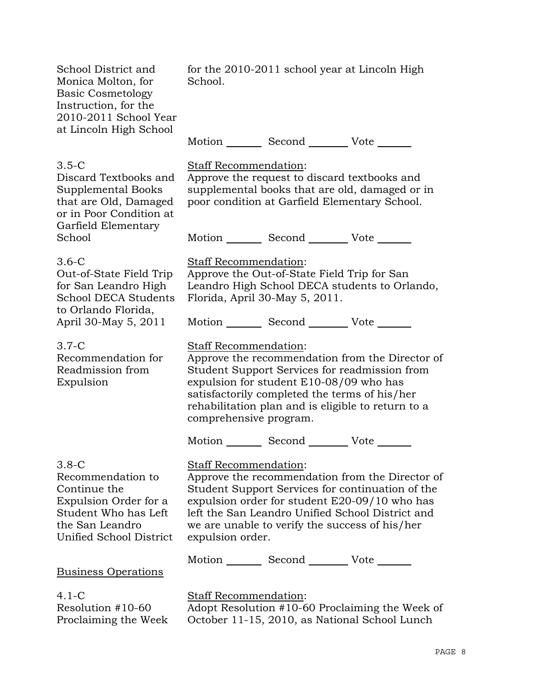School District and Monica Molton, for Basic Cosmetology Instruction, for the 2010-2011 School Year at Lincoln High School for the 2010-2011 school year at Lincoln High School. Motion Second Vote 3.5-C Discard Textbooks and Supplemental Books that are Old, Damaged or in Poor Condition at Garfield Elementary **School** Staff Recommendation: Approve the request to discard textbooks and supplemental books that are old, damaged or in poor condition at Garfield Elementary School. Motion Second Vote 3.6-C Out-of-State Field Trip for San Leandro High School DECA Students to Orlando Florida, April 30-May 5, 2011 Staff Recommendation: Approve the Out-of-State Field Trip for San Leandro High School DECA students to Orlando, Florida, April 30-May 5, 2011. Motion Second Vote 3.7-C Recommendation for Readmission from Expulsion Staff Recommendation: Approve the recommendation from the Director of Student Support Services for readmission from expulsion for student E10-08/09 who has satisfactorily completed the terms of his/her rehabilitation plan and is eligible to return to a comprehensive program. Motion Second Vote 3.8-C Recommendation to Continue the Expulsion Order for a Student Who has Left the San Leandro Unified School District Staff Recommendation: Approve the recommendation from the Director of Student Support Services for continuation of the expulsion order for student E20-09/10 who has left the San Leandro Unified School District and we are unable to verify the success of his/her expulsion order. Motion Second Vote Business Operations 4.1-C Resolution #10-60 Staff Recommendation:

Proclaiming the Week

Adopt Resolution #10-60 Proclaiming the Week of October 11-15, 2010, as National School Lunch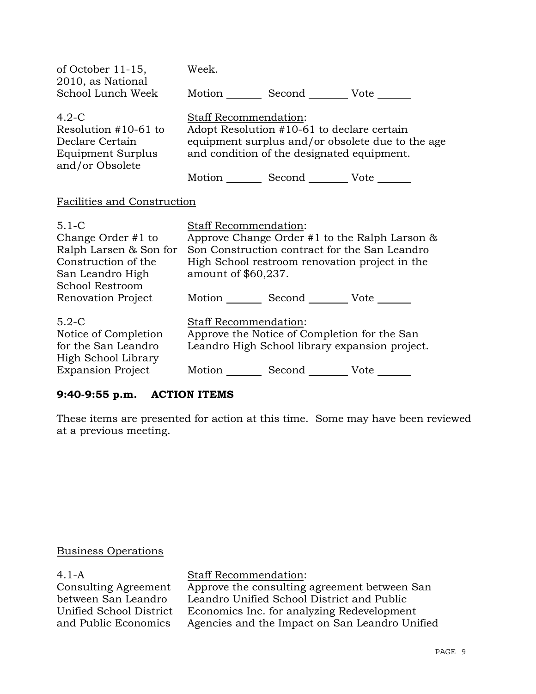| of October $11-15$ ,<br>2010, as National                                                                               | Week.                                        |                                                                                                                             |                                                  |
|-------------------------------------------------------------------------------------------------------------------------|----------------------------------------------|-----------------------------------------------------------------------------------------------------------------------------|--------------------------------------------------|
| School Lunch Week                                                                                                       |                                              | Motion Second Vote ______                                                                                                   |                                                  |
| $4.2-C$<br>Resolution #10-61 to<br>Declare Certain<br>Equipment Surplus<br>and/or Obsolete                              | Staff Recommendation:                        | Adopt Resolution #10-61 to declare certain<br>and condition of the designated equipment.                                    | equipment surplus and/or obsolete due to the age |
|                                                                                                                         |                                              | Motion _________ Second __________ Vote _______                                                                             |                                                  |
| <b>Facilities and Construction</b>                                                                                      |                                              |                                                                                                                             |                                                  |
| $5.1 - C$<br>Change Order #1 to<br>Ralph Larsen & Son for<br>Construction of the<br>San Leandro High<br>School Restroom | Staff Recommendation:<br>amount of \$60,237. | Son Construction contract for the San Leandro<br>High School restroom renovation project in the                             | Approve Change Order #1 to the Ralph Larson $\&$ |
| Renovation Project                                                                                                      |                                              | Motion _________ Second __________ Vote _______                                                                             |                                                  |
| $5.2-C$<br>Notice of Completion<br>for the San Leandro<br>High School Library<br><b>Expansion Project</b>               | Staff Recommendation:                        | Approve the Notice of Completion for the San<br>Leandro High School library expansion project.<br>Motion Second Vote ______ |                                                  |
|                                                                                                                         |                                              |                                                                                                                             |                                                  |

# **9:40-9:55 p.m. ACTION ITEMS**

These items are presented for action at this time. Some may have been reviewed at a previous meeting.

# Business Operations

4.1-A Consulting Agreement between San Leandro Unified School District and Public Economics

Staff Recommendation:

Approve the consulting agreement between San Leandro Unified School District and Public Economics Inc. for analyzing Redevelopment Agencies and the Impact on San Leandro Unified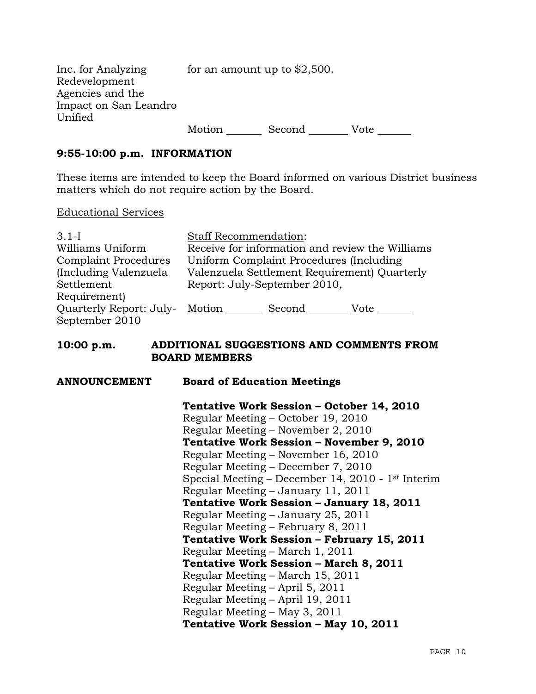| Inc. for Analyzing    | for an amount up to $$2,500$ . |        |      |
|-----------------------|--------------------------------|--------|------|
| Redevelopment         |                                |        |      |
| Agencies and the      |                                |        |      |
| Impact on San Leandro |                                |        |      |
| Unified               |                                |        |      |
|                       | Motion                         | Second | Vote |

#### **9:55-10:00 p.m. INFORMATION**

These items are intended to keep the Board informed on various District business matters which do not require action by the Board.

#### Educational Services

| $3.1 - I$                      | <b>Staff Recommendation:</b>                    |  |  |
|--------------------------------|-------------------------------------------------|--|--|
| Williams Uniform               | Receive for information and review the Williams |  |  |
| <b>Complaint Procedures</b>    | Uniform Complaint Procedures (Including         |  |  |
| (Including Valenzuela          | Valenzuela Settlement Requirement) Quarterly    |  |  |
| Settlement                     | Report: July-September 2010,                    |  |  |
| Requirement)                   |                                                 |  |  |
| Quarterly Report: July- Motion | Second<br>Vote                                  |  |  |
| September 2010                 |                                                 |  |  |

#### **10:00 p.m. ADDITIONAL SUGGESTIONS AND COMMENTS FROM BOARD MEMBERS**

# **ANNOUNCEMENT Board of Education Meetings Tentative Work Session – October 14, 2010**  Regular Meeting – October 19, 2010 Regular Meeting – November 2, 2010  **Tentative Work Session – November 9, 2010**  Regular Meeting – November 16, 2010 Regular Meeting – December 7, 2010 Special Meeting – December 14, 2010 - 1st Interim Regular Meeting – January 11, 2011  **Tentative Work Session – January 18, 2011**  Regular Meeting – January 25, 2011 Regular Meeting – February 8, 2011  **Tentative Work Session – February 15, 2011**  Regular Meeting – March 1, 2011  **Tentative Work Session – March 8, 2011**  Regular Meeting – March 15, 2011 Regular Meeting – April 5, 2011 Regular Meeting – April 19, 2011 Regular Meeting – May 3, 2011  **Tentative Work Session – May 10, 2011**